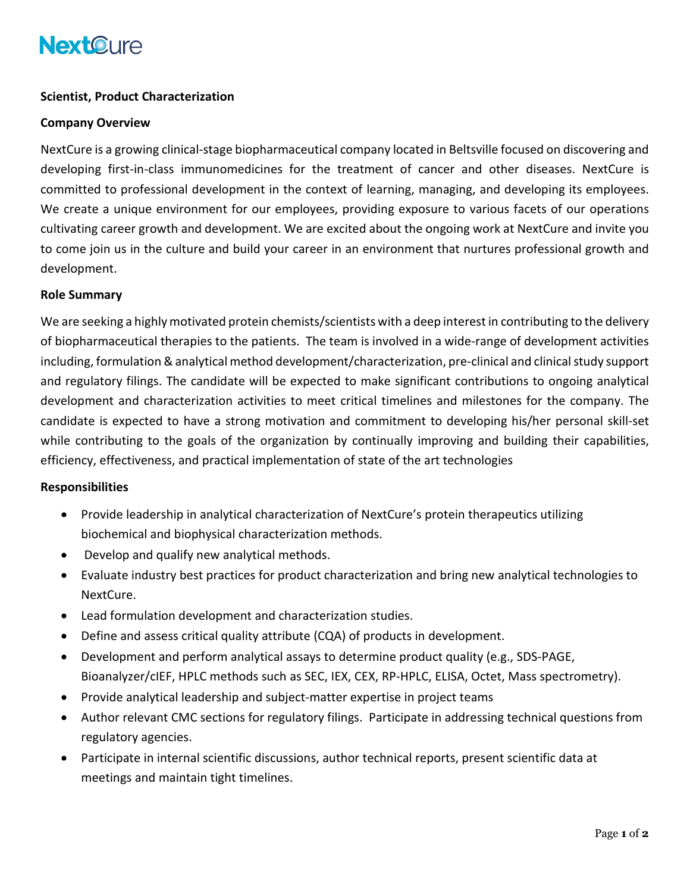# **NextOure**

## **Scientist, Product Characterization**

### **Company Overview**

NextCure is a growing clinical-stage biopharmaceutical company located in Beltsville focused on discovering and developing first-in-class immunomedicines for the treatment of cancer and other diseases. NextCure is committed to professional development in the context of learning, managing, and developing its employees. We create a unique environment for our employees, providing exposure to various facets of our operations cultivating career growth and development. We are excited about the ongoing work at NextCure and invite you to come join us in the culture and build your career in an environment that nurtures professional growth and development.

#### **Role Summary**

We are seeking a highly motivated protein chemists/scientists with a deep interest in contributing to the delivery of biopharmaceutical therapies to the patients. The team is involved in a wide-range of development activities including, formulation & analytical method development/characterization, pre-clinical and clinical study support and regulatory filings. The candidate will be expected to make significant contributions to ongoing analytical development and characterization activities to meet critical timelines and milestones for the company. The candidate is expected to have a strong motivation and commitment to developing his/her personal skill-set while contributing to the goals of the organization by continually improving and building their capabilities, efficiency, effectiveness, and practical implementation of state of the art technologies

#### **Responsibilities**

- Provide leadership in analytical characterization of NextCure's protein therapeutics utilizing biochemical and biophysical characterization methods.
- Develop and qualify new analytical methods.
- Evaluate industry best practices for product characterization and bring new analytical technologies to NextCure.
- Lead formulation development and characterization studies.
- Define and assess critical quality attribute (CQA) of products in development.
- Development and perform analytical assays to determine product quality (e.g., SDS-PAGE, Bioanalyzer/cIEF, HPLC methods such as SEC, IEX, CEX, RP-HPLC, ELISA, Octet, Mass spectrometry).
- Provide analytical leadership and subject-matter expertise in project teams
- Author relevant CMC sections for regulatory filings. Participate in addressing technical questions from regulatory agencies.
- Participate in internal scientific discussions, author technical reports, present scientific data at meetings and maintain tight timelines.